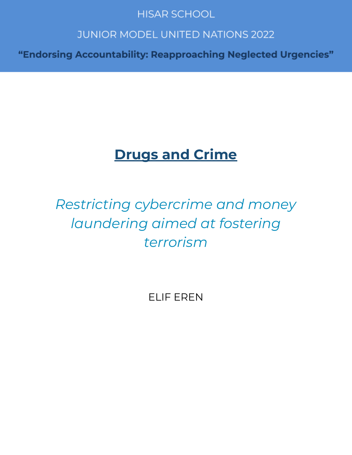# **HISAR SCHOOL**

# **JUNIOR MODEL UNITED NATIONS 2022**

"Endorsing Accountability: Reapproaching Neglected Urgencies"

# **Drugs and Crime**

# *Restricting cybercrime and money laundering aimed at fostering terrorism*

ELIF EREN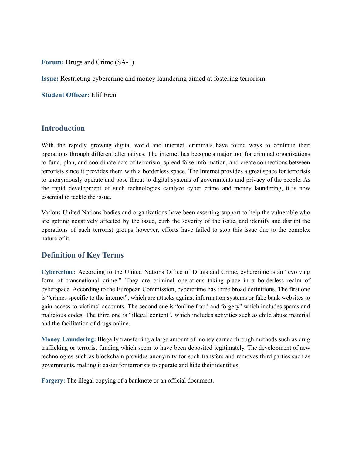**Forum:** Drugs and Crime (SA-1)

**Issue:** Restricting cybercrime and money laundering aimed at fostering terrorism

**Student Officer:** Elif Eren

### **Introduction**

With the rapidly growing digital world and internet, criminals have found ways to continue their operations through different alternatives. The internet has become a major tool for criminal organizations to fund, plan, and coordinate acts of terrorism, spread false information, and create connections between terrorists since it provides them with a borderless space. The Internet provides a great space for terrorists to anonymously operate and pose threat to digital systems of governments and privacy of the people. As the rapid development of such technologies catalyze cyber crime and money laundering, it is now essential to tackle the issue.

Various United Nations bodies and organizations have been asserting support to help the vulnerable who are getting negatively affected by the issue, curb the severity of the issue, and identify and disrupt the operations of such terrorist groups however, efforts have failed to stop this issue due to the complex nature of it.

# **Definition of Key Terms**

**Cybercrime:** According to the United Nations Office of Drugs and Crime, cybercrime is an "evolving form of transnational crime." They are criminal operations taking place in a borderless realm of cyberspace. According to the European Commission, cybercrime has three broad definitions. The first one is "crimes specific to the internet", which are attacks against information systems or fake bank websites to gain access to victims' accounts. The second one is "online fraud and forgery" which includes spams and malicious codes. The third one is "illegal content", which includes activities such as child abuse material and the facilitation of drugs online.

**Money Laundering:** Illegally transferring a large amount of money earned through methods such as drug trafficking or terrorist funding which seem to have been deposited legitimately. The development of new technologies such as blockchain provides anonymity for such transfers and removes third parties such as governments, making it easier for terrorists to operate and hide their identities.

**Forgery:** The illegal copying of a banknote or an official document.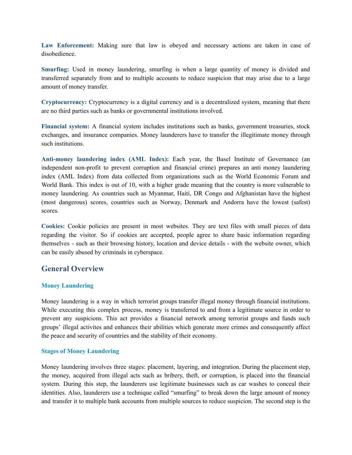**Law Enforcement:** Making sure that law is obeyed and necessary actions are taken in case of disobedience.

**Smurfing:** Used in money laundering, smurfing is when a large quantity of money is divided and transferred separately from and to multiple accounts to reduce suspicion that may arise due to a large amount of money transfer.

**Cryptocurrency:** Cryptocurrency is a digital currency and is a decentralized system, meaning that there are no third parties such as banks or governmental institutions involved.

**Financial system:** A financial system includes institutions such as banks, government treasuries, stock exchanges, and insurance companies. Money launderers have to transfer the illegitimate money through such institutions.

**Anti-money laundering index (AML Index):** Each year, the Basel Institute of Governance (an independent non-profit to prevent corruption and financial crime) prepares an anti money laundering index (AML Index) from data collected from organizations such as the World Economic Forum and World Bank. This index is out of 10, with a higher grade meaning that the country is more vulnerable to money laundering. As countries such as Myanmar, Haiti, DR Congo and Afghanistan have the highest (most dangerous) scores, countries such as Norway, Denmark and Andorra have the lowest (safest) scores.

**Cookies:** Cookie policies are present in most websites. They are text files with small pieces of data regarding the visitor. So if cookies are accepted, people agree to share basic information regarding themselves - such as their browsing history, location and device details - with the website owner, which can be easily abused by criminals in cyberspace.

# **General Overview**

#### **Money Laundering**

Money laundering is a way in which terrorist groups transfer illegal money through financial institutions. While executing this complex process, money is transferred to and from a legitimate source in order to prevent any suspicions. This act provides a financial network among terrorist groups and funds such groups' illegal activites and enhances their abilities which generate more crimes and consequently affect the peace and security of countries and the stability of their economy.

#### **Stages of Money Laundering**

Money laundering involves three stages: placement, layering, and integration. During the placement step, the money, acquired from illegal acts such as bribery, theft, or corruption, is placed into the financial system. During this step, the launderers use legitimate businesses such as car washes to conceal their identities. Also, launderers use a technique called "smurfing" to break down the large amount of money and transfer it to multiple bank accounts from multiple sources to reduce suspicion. The second step is the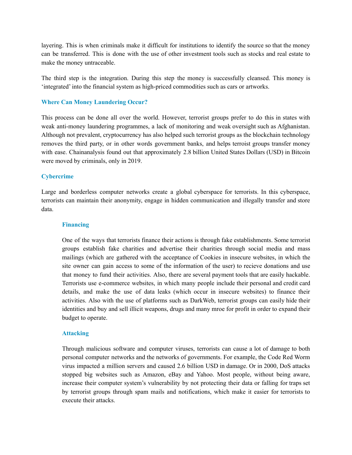layering. This is when criminals make it difficult for institutions to identify the source so that the money can be transferred. This is done with the use of other investment tools such as stocks and real estate to make the money untraceable.

The third step is the integration. During this step the money is successfully cleansed. This money is 'integrated' into the financial system as high-priced commodities such as cars or artworks.

#### **Where Can Money Laundering Occur?**

This process can be done all over the world. However, terrorist groups prefer to do this in states with weak anti-money laundering programmes, a lack of monitoring and weak oversight such as Afghanistan. Although not prevalent, cryptocurrency has also helped such terrorist groups as the blockchain technology removes the third party, or in other words government banks, and helps terroist groups transfer money with ease. Chainanalysis found out that approximately 2.8 billion United States Dollars (USD) in Bitcoin were moved by criminals, only in 2019.

#### **Cybercrime**

Large and borderless computer networks create a global cyberspace for terrorists. In this cyberspace, terrorists can maintain their anonymity, engage in hidden communication and illegally transfer and store data.

#### **Financing**

One of the ways that terrorists finance their actions is through fake establishments. Some terrorist groups establish fake charities and advertise their charities through social media and mass mailings (which are gathered with the acceptance of Cookies in insecure websites, in which the site owner can gain access to some of the information of the user) to recieve donations and use that money to fund their activities. Also, there are several payment tools that are easily hackable. Terrorists use e-commerce websites, in which many people include their personal and credit card details, and make the use of data leaks (which occur in insecure websites) to finance their activities. Also with the use of platforms such as DarkWeb, terrorist groups can easily hide their identities and buy and sell illicit weapons, drugs and many mroe for profit in order to expand their budget to operate.

#### **Attacking**

Through malicious software and computer viruses, terrorists can cause a lot of damage to both personal computer networks and the networks of governments. For example, the Code Red Worm virus impacted a million servers and caused 2.6 billion USD in damage. Or in 2000, DoS attacks stopped big websites such as Amazon, eBay and Yahoo. Most people, without being aware, increase their computer system's vulnerability by not protecting their data or falling for traps set by terrorist groups through spam mails and notifications, which make it easier for terrorists to execute their attacks.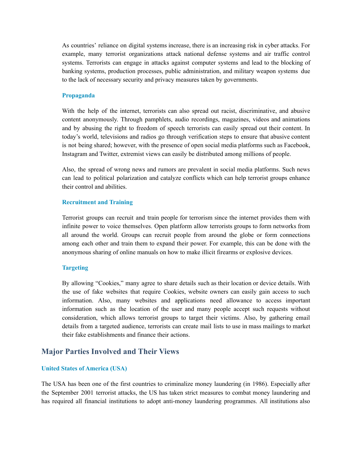As countries' reliance on digital systems increase, there is an increasing risk in cyber attacks. For example, many terrorist organizations attack national defense systems and air traffic control systems. Terrorists can engage in attacks against computer systems and lead to the blocking of banking systems, production processes, public administration, and military weapon systems due to the lack of necessary security and privacy measures taken by governments.

#### **Propaganda**

With the help of the internet, terrorists can also spread out racist, discriminative, and abusive content anonymously. Through pamphlets, audio recordings, magazines, videos and animations and by abusing the right to freedom of speech terrorists can easily spread out their content. In today's world, televisions and radios go through verification steps to ensure that abusive content is not being shared; however, with the presence of open social media platforms such as Facebook, Instagram and Twitter, extremist views can easily be distributed among millions of people.

Also, the spread of wrong news and rumors are prevalent in social media platforms. Such news can lead to political polarization and catalyze conflicts which can help terrorist groups enhance their control and abilities.

#### **Recruitment and Training**

Terrorist groups can recruit and train people for terrorism since the internet provides them with infinite power to voice themselves. Open platform allow terrorists groups to form networks from all around the world. Groups can recruit people from around the globe or form connections among each other and train them to expand their power. For example, this can be done with the anonymous sharing of online manuals on how to make illicit firearms or explosive devices.

#### **Targeting**

By allowing "Cookies," many agree to share details such as their location or device details. With the use of fake websites that require Cookies, website owners can easily gain access to such information. Also, many websites and applications need allowance to access important information such as the location of the user and many people accept such requests without consideration, which allows terrorist groups to target their victims. Also, by gathering email details from a targeted audience, terrorists can create mail lists to use in mass mailings to market their fake establishments and finance their actions.

# **Major Parties Involved and Their Views**

#### **United States of America (USA)**

The USA has been one of the first countries to criminalize money laundering (in 1986). Especially after the September 2001 terrorist attacks, the US has taken strict measures to combat money laundering and has required all financial institutions to adopt anti-money laundering programmes. All institutions also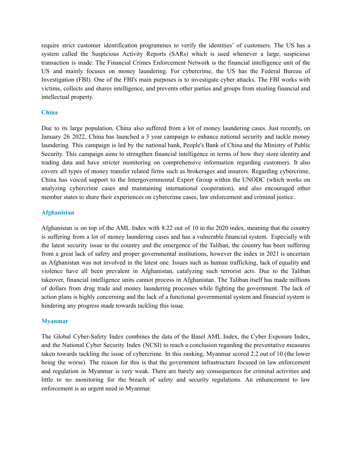require strict customer identification programmes to verify the identities' of customers. The US has a system called the Suspicious Activity Reports (SARs) which is used whenever a large, suspicious transaction is made. The Financial Crimes Enforcement Network is the financial intelligence unit of the US and mainly focuses on money laundering. For cybercrime, the US has the Federal Bureau of Investigation (FBI). One of the FBI's main purposes is to investigate cyber attacks. The FBI works with victims, collects and shares intelligence, and prevents other parties and groups from stealing financial and intellectual property.

#### **China**

Due to its large population, China also suffered from a lot of money laundering cases. Just recently, on January 26 2022, China has launched a 3 year campaign to enhance national security and tackle money laundering. This campaign is led by the national bank, People's Bank of China and the Ministry of Public Security. This campaign aims to strengthen financial intelligence in terms of how they store identity and trading data and have stricter monitoring on comprehensive information regarding customers. It also covers all types of money transfer related firms such as brokerages and insurers. Regarding cybercrime, China has voiced support to the Intergovernmental Expert Group within the UNODC (which works on analyzing cybercrime cases and maintaining international cooperation), and also encouraged other member states to share their experiences on cybercrime cases, law enforcement and criminal justice.

#### **Afghanistan**

Afghanistan is on top of the AML Index with 8.22 out of 10 in the 2020 index, meaning that the country is suffering from a lot of money laundering cases and has a vulnerable financial system. Especially with the latest security issue in the country and the emergence of the Taliban, the country has been suffering from a great lack of safety and proper governmental institutions, however the index in 2021 is uncertain as Afghanistan was not involved in the latest one. Issues such as human trafficking, lack of equality and violence have all been prevalent in Afghanistan, catalyzing such terrorist acts. Due to the Taliban takeover, financial intelligence units cannot process in Afghanistan. The Taliban itself has made millions of dollars from drug trade and money laundering processes while fighting the government. The lack of action plans is highly concerning and the lack of a functional governmental system and financial system is hindering any progress made towards tackling this issue.

#### **Myanmar**

The Global Cyber-Safety Index combines the data of the Basel AML Index, the Cyber Exposure Index, and the National Cyber Security Index (NCSI) to reach a conclusion regarding the preventative measures taken towards tackling the issue of cybercrime. In this ranking, Myanmar scored 2.2 out of 10 (the lower being the worse). The reason for this is that the government infrastructure focused on law enforcement and regulation in Myanmar is very weak. There are barely any consequences for criminal activities and little to no monitoring for the breach of safety and security regulations. An enhancement to law enforcement is an urgent need in Myanmar.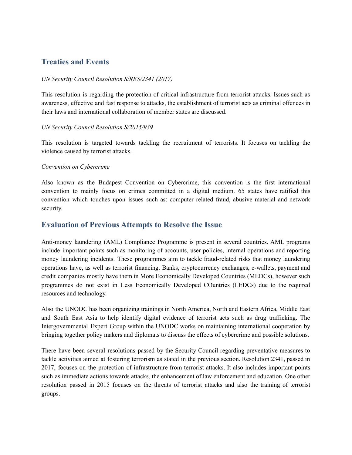# **Treaties and Events**

#### *UN Security Council Resolution S/RES/2341 (2017)*

This resolution is regarding the protection of critical infrastructure from terrorist attacks. Issues such as awareness, effective and fast response to attacks, the establishment of terrorist acts as criminal offences in their laws and international collaboration of member states are discussed.

#### *UN Security Council Resolution S/2015/939*

This resolution is targeted towards tackling the recruitment of terrorists. It focuses on tackling the violence caused by terrorist attacks.

#### *Convention on Cybercrime*

Also known as the Budapest Convention on Cybercrime, this convention is the first international convention to mainly focus on crimes committed in a digital medium. 65 states have ratified this convention which touches upon issues such as: computer related fraud, abusive material and network security.

# **Evaluation of Previous Attempts to Resolve the Issue**

Anti-money laundering (AML) Compliance Programme is present in several countries. AML programs include important points such as monitoring of accounts, user policies, internal operations and reporting money laundering incidents. These programmes aim to tackle fraud-related risks that money laundering operations have, as well as terrorist financing. Banks, cryptocurrency exchanges, e-wallets, payment and credit companies mostly have them in More Economically Developed Countries (MEDCs), however such programmes do not exist in Less Economically Developed COuntries (LEDCs) due to the required resources and technology.

Also the UNODC has been organizing trainings in North America, North and Eastern Africa, Middle East and South East Asia to help identify digital evidence of terrorist acts such as drug trafficking. The Intergovernmental Expert Group within the UNODC works on maintaining international cooperation by bringing together policy makers and diplomats to discuss the effects of cybercrime and possible solutions.

There have been several resolutions passed by the Security Council regarding preventative measures to tackle activities aimed at fostering terrorism as stated in the previous section. Resolution 2341, passed in 2017, focuses on the protection of infrastructure from terrorist attacks. It also includes important points such as immediate actions towards attacks, the enhancement of law enforcement and education. One other resolution passed in 2015 focuses on the threats of terrorist attacks and also the training of terrorist groups.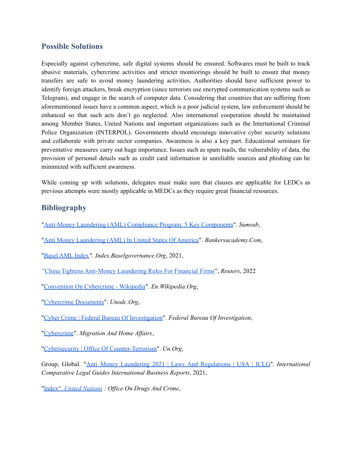# **Possible Solutions**

Especially against cybercrime, safe digital systems should be ensured. Softwares must be built to track abusive materials, cybercrime activities and stricter montiorings should be built to ensure that money transfers are safe to avoid money laundering activities. Authorities should have sufficient power to identify foreign attackers, break encryption (since terrorists use encrypted communication systems such as Telegram), and engage in the search of computer data. Considering that countries that are suffering from aforementioned issues have a common aspect, which is a poor judicial system, law enforcement should be enhanced so that such acts don't go neglected. Also international cooperation should be maintained among Member States, United Nations and important organizations such as the International Criminal Police Organization (INTERPOL). Governments should encourage innovative cyber security solutions and collaborate with private sector companies. Awareness is also a key part. Educational seminars for preventative measures carry out huge importance. Issues such as spam mails, the vulnerability of data, the provision of personal details such as credit card information in unreliable sources and phishing can be minimized with sufficient awareness.

While coming up with solutions, delegates must make sure that clauses are applicable for LEDCs as previous attempts were mostly applicable in MEDCs as they require great financial resources.

# **Bibliography**

- "Anti-Money Laundering (AML) Compliance Program: 5 Key [Components"](https://sumsub.com/knowledgebase/aml-compliance-progam/). *Sumsub*,
- "Anti Money [Laundering](http://bankersacademy.com/resources/free-tutorials/57-ba-free-tutorials/606-aml-usa-sp-741) (AML) In United States Of America". *Bankersacademy.Com*,

"Basel AML [Index"](https://index.baselgovernance.org/ranking). *Index.Baselgovernance.Org*, 2021,

*"*China Tightens [Anti-Money](https://www.reuters.com/markets/europe/china-tightens-anti-money-laundering-rules-financial-firms-2022-01-26/) Laundering Rules For Financial Firms", *Reuters*, 2022

"Convention On [Cybercrime](https://en.wikipedia.org/wiki/Convention_on_Cybercrime) - Wikipedia". *En.Wikipedia.Org*,

["Cybercrime](https://www.unodc.org/documents/Cybercrime/English.pdf) Documents". *Unodc.Org*,

"Cyber Crime | Federal Bureau Of [Investigation](https://www.fbi.gov/investigate/cyber)". *Federal Bureau Of Investigation*,

["Cybercrime](https://ec.europa.eu/home-affairs/cybercrime_en)". *Migration And Home Af airs*,

"Cybersecurity | Office Of [Counter-Terrorism"](https://www.un.org/counterterrorism/cybersecurity). *Un.Org*,

Group, Global. "Anti Money Laundering 2021 | Laws And [Regulations](https://iclg.com/practice-areas/anti-money-laundering-laws-and-regulations/usa) | USA | ICLG". *International Comparative Legal Guides International Business Reports*, 2021,

"Index". *United [Nations](https://www.unodc.org/unodc/en/cybercrime/index.html) : Of ice On Drugs And Crime*,